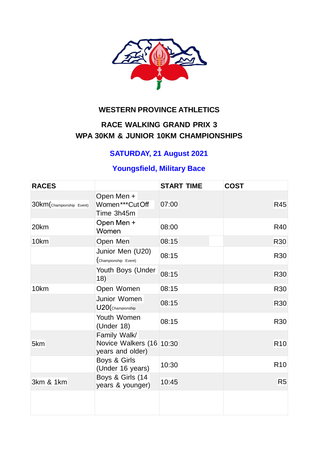

# **WESTERN PROVINCE ATHLETICS**

# **RACE WALKING GRAND PRIX 3 WPA 30KM & JUNIOR 10KM CHAMPIONSHIPS**

# **SATURDAY, 21 August 2021**

# **Youngsfield, Military Bace**

| <b>RACES</b>              |                                                              | <b>START TIME</b> | <b>COST</b>     |
|---------------------------|--------------------------------------------------------------|-------------------|-----------------|
| 30km (Championship Event) | Open Men +<br>Women***CutOff<br>Time 3h45m                   | 07:00             | <b>R45</b>      |
| 20km                      | Open Men +<br>Women                                          | 08:00             | R40             |
| 10km                      | Open Men                                                     | 08:15             | <b>R30</b>      |
|                           | Junior Men (U20)<br>(Championship Event)                     | 08:15             | <b>R30</b>      |
|                           | Youth Boys (Under<br>18)                                     | 08:15             | R30             |
| 10km                      | Open Women                                                   | 08:15             | <b>R30</b>      |
|                           | Junior Women<br>U20(Championship                             | 08:15             | <b>R30</b>      |
|                           | Youth Women<br>(Under $18$ )                                 | 08:15             | <b>R30</b>      |
| 5km                       | Family Walk/<br>Novice Walkers (16 10:30<br>years and older) |                   | R <sub>10</sub> |
|                           | Boys & Girls<br>(Under 16 years)                             | 10:30             | R <sub>10</sub> |
| 3km & 1km                 | Boys & Girls (14<br>years & younger)                         | 10:45             | R <sub>5</sub>  |
|                           |                                                              |                   |                 |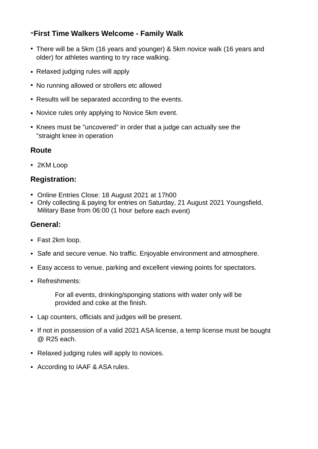### \***First Time Walkers Welcome - Family Walk**

- There will be a 5km (16 years and younger) & 5km novice walk (16 years and older) for athletes wanting to try race walking.
- Relaxed judging rules will apply
- No running allowed or strollers etc allowed
- Results will be separated according to the events.
- Novice rules only applying to Novice 5km event.
- Knees must be "uncovered" in order that a judge can actually see the "straight knee in operation

#### **Route**

• 2KM Loop

#### **Registration:**

- Online Entries Close: 18 August 2021 at 17h00
- Only collecting & paying for entries on Saturday, 21 August 2021 Youngsfield, Military Base from 06:00 (1 hour before each event)

#### **General:**

- Fast 2km loop.
- Safe and secure venue. No traffic. Enjoyable environment and atmosphere.
- Easy access to venue, parking and excellent viewing points for spectators.
- Refreshments:

For all events, drinking/sponging stations with water only will be provided and coke at the finish.

- Lap counters, officials and judges will be present.
- If not in possession of a valid 2021 ASA license, a temp license must be bought @ R25 each.
- Relaxed judging rules will apply to novices.
- According to IAAF & ASA rules.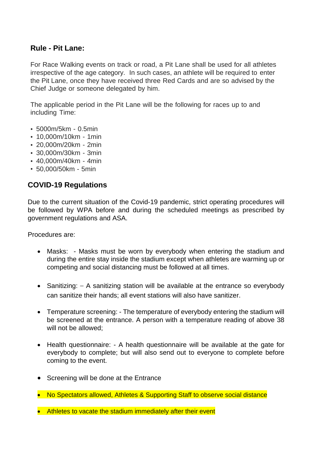#### **Rule - Pit Lane:**

For Race Walking events on track or road, a Pit Lane shall be used for all athletes irrespective of the age category. In such cases, an athlete will be required to enter the Pit Lane, once they have received three Red Cards and are so advised by the Chief Judge or someone delegated by him.

The applicable period in the Pit Lane will be the following for races up to and including Time:

- 5000m/5km 0.5min
- 10,000m/10km 1min
- 20,000m/20km 2min
- 30,000m/30km 3min
- 40,000m/40km 4min
- 50,000/50km 5min

### **COVID-19 Regulations**

Due to the current situation of the Covid-19 pandemic, strict operating procedures will be followed by WPA before and during the scheduled meetings as prescribed by government regulations and ASA.

Procedures are:

- Masks: Masks must be worn by everybody when entering the stadium and during the entire stay inside the stadium except when athletes are warming up or competing and social distancing must be followed at all times.
- Sanitizing:  $-$  A sanitizing station will be available at the entrance so everybody can sanitize their hands; all event stations will also have sanitizer.
- Temperature screening: The temperature of everybody entering the stadium will be screened at the entrance. A person with a temperature reading of above 38 will not be allowed:
- Health questionnaire: A health questionnaire will be available at the gate for everybody to complete; but will also send out to everyone to complete before coming to the event.
- Screening will be done at the Entrance
- No Spectators allowed, Athletes & Supporting Staff to observe social distance
- Athletes to vacate the stadium immediately after their event